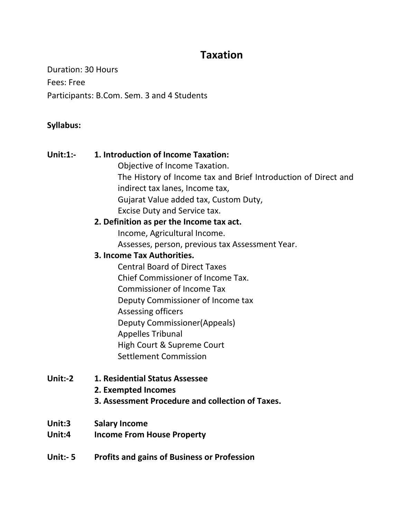## **Taxation**

Duration: 30 Hours Fees: Free Participants: B.Com. Sem. 3 and 4 Students

## **Syllabus:**

## **Unit:1:- 1. Introduction of Income Taxation:** Objective of Income Taxation. The History of Income tax and Brief Introduction of Direct and indirect tax lanes, Income tax, Gujarat Value added tax, Custom Duty, Excise Duty and Service tax. **2. Definition as per the Income tax act.** Income, Agricultural Income. Assesses, person, previous tax Assessment Year. **3. Income Tax Authorities.** Central Board of Direct Taxes Chief Commissioner of Income Tax. Commissioner of Income Tax Deputy Commissioner of Income tax Assessing officers Deputy Commissioner(Appeals) Appelles Tribunal High Court & Supreme Court Settlement Commission **Unit:-2 1. Residential Status Assessee 2. Exempted Incomes 3. Assessment Procedure and collection of Taxes.**

**Unit:3 Salary Income** 

- **Unit:4 Income From House Property**
- **Unit:- 5 Profits and gains of Business or Profession**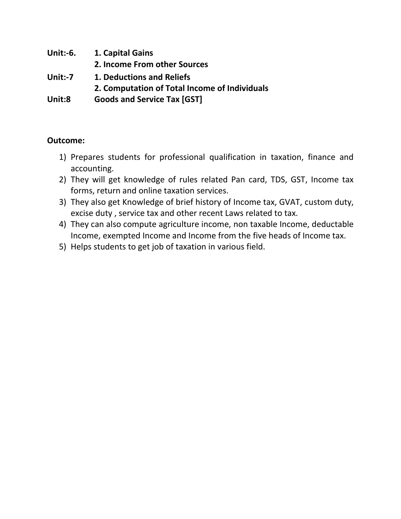| Unit:-6.   | 1. Capital Gains                              |
|------------|-----------------------------------------------|
|            | 2. Income From other Sources                  |
| Unit: $-7$ | <b>1. Deductions and Reliefs</b>              |
|            | 2. Computation of Total Income of Individuals |
| Unit:8     | <b>Goods and Service Tax [GST]</b>            |

## **Outcome:**

- 1) Prepares students for professional qualification in taxation, finance and accounting.
- 2) They will get knowledge of rules related Pan card, TDS, GST, Income tax forms, return and online taxation services.
- 3) They also get Knowledge of brief history of Income tax, GVAT, custom duty, excise duty , service tax and other recent Laws related to tax.
- 4) They can also compute agriculture income, non taxable Income, deductable Income, exempted Income and Income from the five heads of Income tax.
- 5) Helps students to get job of taxation in various field.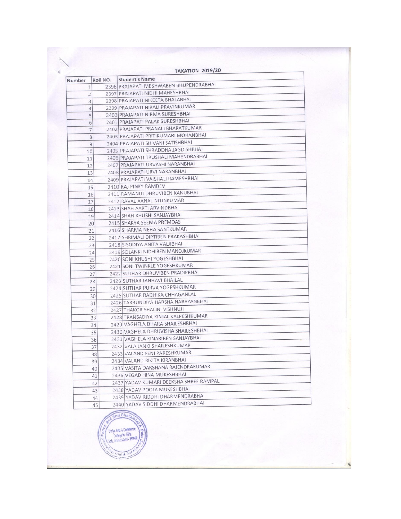|          |          | <b>TAXATION 2019/20</b>                                                                      |
|----------|----------|----------------------------------------------------------------------------------------------|
| Number   | Roll NO. | Student's Name<br>2396 PRAJAPATI MESHWABEN BHUPENDRABHAI                                     |
| 1        |          | 2397 PRAJAPATI NIDHI MAHESHBHAI                                                              |
| 2        |          | 2398 PRAJAPATI NIKEETA BHALABHAI                                                             |
| 3        |          | 2399 PRAJAPATI NIRALI PRAVINKUMAR                                                            |
| 4        |          | 2400 PRAJAPATI NIRMA SURESHBHAI                                                              |
| 5        |          | 2401 PRAJAPATI PALAK SURESHBHAI                                                              |
| 6        |          | 2402 PRAJAPATI PRANALI BHARATKUMAR                                                           |
| 7        |          | 2403 PRAJAPATI PRITIKUMARI MOHANBHAI                                                         |
| 8        |          | 2404 PRAJAPATI SHIVANI SATISHBHAI                                                            |
| 9        |          | 2405 PRAJAPATI SHRADDHA JAGDISHBHAI                                                          |
| 10       |          | 2406 PRAJAPATI TRUSHALI MAHENDRABHAI                                                         |
| 11       |          | 2407 PRAJAPATI URVASHI NARANBHAI                                                             |
| 12       |          | 2408 PRAJAPATI URVI NARANBHAI                                                                |
| 13       |          | 2409 PRAJAPATI VAISHALI RAMESHBHAI                                                           |
| 14       |          | 2410 RAJ PINKY RAMDEV                                                                        |
| 15       |          | 2411 RAMANUJ DHRUVIBEN KANUBHAI                                                              |
| 16<br>17 |          | 2412 RAVAL AANAL NITINKUMAR                                                                  |
|          |          | 2413 SHAH AARTI ARVINDBHAI                                                                   |
| 18       |          | 2414 SHAH KHUSHI SANJAYBHAI                                                                  |
| 19       |          | 2415 SHAKYA SEEMA PREMDAS                                                                    |
| 20       |          | 2416 SHARMA NEHA SANTKUMAR                                                                   |
| 21<br>22 |          | 2417 SHRIMALI DIPTIBEN PRAKASHBHAI                                                           |
|          |          | 2418 SISODIYA ANITA VALJIBHAI                                                                |
| 23       |          | 2419 SOLANKI NIDHIBEN MANOJKUMAR                                                             |
| 24       |          | 2420 SONI KHUSHI YOGESHBHAI                                                                  |
|          | 25<br>26 | 2421 SONI TWINKLE YOGESHKUMAR                                                                |
|          | 27       | 2422 SUTHAR DHRUVIBEN PRADIPBHAI                                                             |
|          | 28       | 2423 SUTHAR JANHAVI BHAILAL                                                                  |
|          | 29       | 2424 SUTHAR PURVA YOGESHKUMAR                                                                |
|          | 30       | 2425 SUTHAR RADHIKA CHHAGANLAL                                                               |
|          | 31       | 2426 TARBUNDIYA HARSHA NARAYANBHAI                                                           |
|          | 32       | 2427 THAKOR SHALINI VISHNUJI                                                                 |
|          | 33       | 2428 TRANSADIYA KINJAL KALPESHKUMAR                                                          |
|          | 34       | 2429 VAGHELA DHARA SHAILESHBHAI                                                              |
|          | 35       | 2430 VAGHELA DHRUVISHA SHAILESHBHAI                                                          |
|          | 36       | 2431 VAGHELA KINARIBEN SANJAYBHAI                                                            |
|          | 37       | 2432 VALA JANKI SHAILESHKUMAR                                                                |
|          |          | 2433 VALAND FENI PARESHKUMAR                                                                 |
|          | 38<br>39 | 2434 VALAND RIKITA KIRANBHAI                                                                 |
|          | 40       | 2435 VASITA DARSHANA RAJENDRAKUMAR                                                           |
|          |          | 2436 VEGAD HINA MUKESHBHAI                                                                   |
|          | 41       | 2437 YADAV KUMARI DEEKSHA SHREE RAMPAL                                                       |
|          | 42       | 2438 YADAV POOJA MUKESHBHAI                                                                  |
|          | 43       | 2439 YADAV RIDDHI DHARMENDRABHAI                                                             |
|          | 44       | 2440 YADAV SIDDHI DHARMENDRABHAI                                                             |
|          | 45       | Shri Bhallaib<br>Umiya Arts & Commerce<br>patel<br>College for Girls<br>Animeriabad - 380060 |